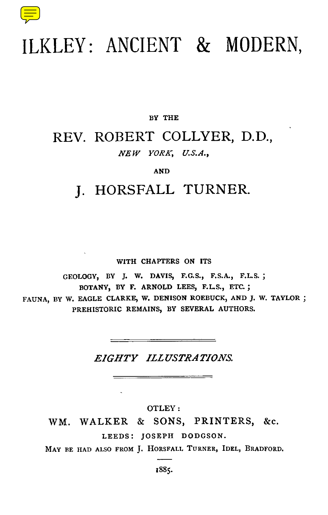

## ILKLEY: ANCIENT & MODERN,

#### **BY THE**

## REV. ROBERT COLLYER, D.D., *NEW YORK, U.S.A.,*

#### *AN D*

## J. HORSFALL TURNER.

#### **WITH CHAPTERS ON ITS**

**GEOLOGY, BY J. W. DAVIS, F.G.S., F.S.A ., F.L.S.; BOTANY, BY F. ARNOLD LEES, F.L.S., ETC.; FAUNA, BY W. EAGLE CLARKE, W. DENISON ROEBUCK, AND J. W. TAYLOR; PREHISTORIC REMAINS, BY SEVERAL AUTHORS.**

#### *EIGHTY ILLUSTRATIONS.*

OTLEY :

WM. WALKER & SONS, PRINTERS, &c. **LEEDS : JOSEPH DODGSON.**

**MAY BE HAD ALSO FROM J . HORSFALL TURNER, IDEL, BRADFORD.**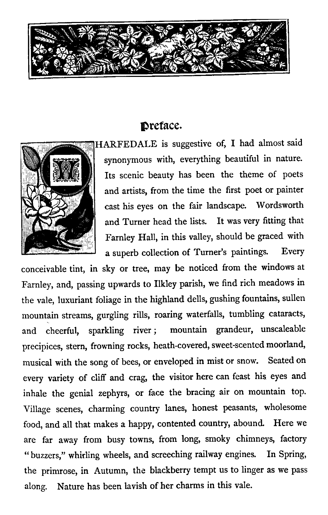

### Dreface.



HARFEDALE is suggestive of, I had almost said synonymous with, everything beautiful in nature. Its scenic beauty has been the theme of poets and artists, from the time the first poet or painter cast his eyes on the fair landscape. Wordsworth and Turner head the lists. It was very fitting that Farnley Hall, in this valley, should be graced with a superb collection of Turner's paintings. Every

conceivable tint, in sky or tree, may be noticed from the windows at Farnley, and, passing upwards to Ilkley parish, we find rich meadows in the vale, luxuriant foliage in the highland dells, gushing fountains, sullen mountain streams, gurgling rills, roaring waterfalls, tumbling cataracts, and cheerful, sparkling river ; mountain grandeur, unscaleable precipices, stern, frowning rocks, heath-covered, sweet-scented moorland, musical with the song of bees, or enveloped in mist or snow. Seated on every variety of cliff and crag, the visitor here can feast his eyes and inhale the genial zephyrs, or face the bracing air on mountain top. Village scenes, charming country lanes, honest peasants, wholesome food, and all that makes a happy, contented country, abound. Here we are far away from busy towns, from long, smoky chimneys, factory " buzzers," whirling wheels, and screeching railway engines. In Spring, the primrose, in Autumn, the blackberry tempt us to linger as we pass along. Nature has been lavish of her charms in this vale.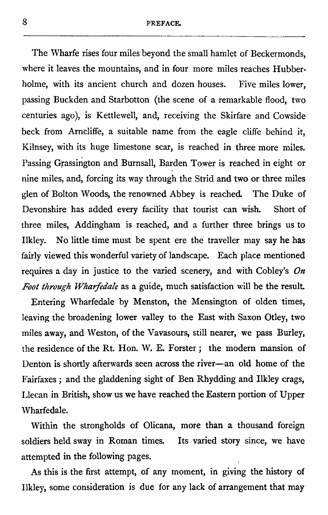The Wharfe rises four miles beyond the small hamlet of Beckermonds, where it leaves the mountains, and in four more miles reaches Hubberholme, with its ancient church and dozen houses. Five miles lower, passing Buckden and Starbotton (the scene of a remarkable flood, two centuries ago), is Kettlewell, and, receiving the Skirfare and Cowside beck from Arncliffe, a suitable name from the eagle cliffe behind it, Kilnsey, with its huge limestone scar, is reached in three more miles. Passing Grassington and Burnsall, Barden Tower is reached in eight or nine miles, and, forcing its way through the Strid and two or three miles glen of Bolton Woods, the renowned Abbey is reached. The Duke of Devonshire has added every facility that tourist can wish. Short of three miles, Addingham is reached, and a further three brings us to Ilkley. No little time must be spent ere the traveller may say he has fairly viewed this wonderful variety of landscape. Each place mentioned requires a day in justice to the varied scenery, and with Cobley's  $On$ Foot through Wharfedale as a guide, much satisfaction will be the result.

Entering Wharfedale by Menston, the Mensington of olden times, leaving the broadening lower valley to the East with Saxon Otley, two miles away, and Weston, of the Vavasours, still nearer, we pass Burley, the residence of the Rt. Hon. W. E. Forster ; the modern mansion of Denton is shortly afterwards seen across the river--an old home of the Fairfaxes ; and the gladdening sight of Ben Rhydding and Ilkley crags, Llecan in British, show us we have reached the Eastern portion of Upper Wharfedale.

Within the strongholds of Olicana, more than a thousand foreign soldiers held sway in Roman times. Its varied story since, we have attempted in the following pages.

As this is the first attempt, of any moment, in giving the history of Ilkley, some consideration is due for any lack of arrangement that may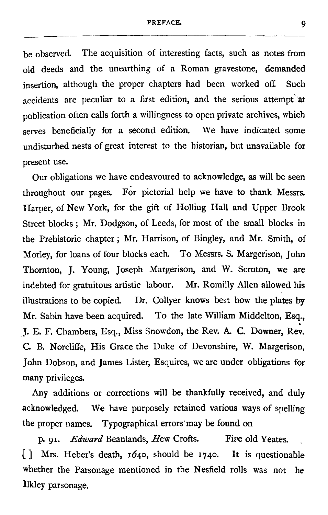#### PREFACE. 9

be observed. The acquisition of interesting facts, such as notes from old deeds and the unearthing of a Roman gravestone, demanded insertion, although the proper chapters had been worked off. Such accidents are peculiar to a first edition, and the serious attempt at publication often calls forth a willingness to open private archives, which serves beneficially for a second edition. We have indicated some undisturbed nests of great interest to the historian, but unavailable for present use.

Our obligations we have endeavoured to acknowledge, as will be seen throughout our pages. For pictorial help we have to thank Messrs. Harper, of New York, for the gift of Holling Hall and Upper Brook Street blocks ; Mr. Dodgson, of Leeds, for most of the small blocks in the Prehistoric chapter ; Mr. Harrison, of Bingley, and Mr. Smith, of Morley, for loans of four blocks each. To Messrs. S. Margerison, John Thornton, J. Young, Joseph Margerison, and W. Scruton, we are indebted for gratuitous artistic labour. Mr. Romilly Allen allowed his illustrations to be copied. Dr. Collyer knows best how the plates by Mr. Sabin have been acquired. To the late William Middelton, Esq., J. E. F. Chambers, Esq., Miss Snowdon, the Rev. A. C. Downer, Rev. C. B. Norcliffe, His Grace the Duke of Devonshire, W. Margerison, John Dobson, and James Lister, Esquires, we are under obligations for many privileges.

Any additions or corrections will be thankfully received, and duly acknowledged. We have purposely retained various ways of spelling the proper names. Typographical errors may be found on

p. 91. *Edward Beanlands, Hew Crofts. Five old Yeates., [ ] Mrs. Heber's death, 164o, should be 1740 . It is questionable whether the Parsonage mentioned in the Nesfield rolls was not he Ilkley parsonage.*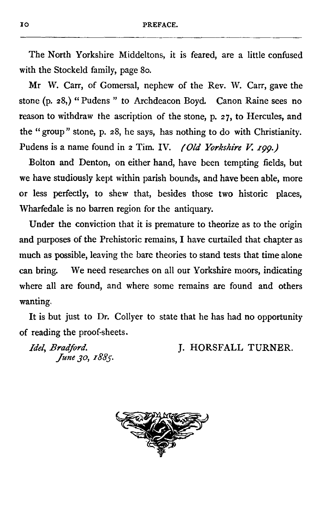The North Yorkshire Middeltons, it is feared, are a little confused with the Stockeld family, page 80.

Mr W. Carr, of Gomersal, nephew of the Rev. W. Carr, gave the stone (p. 28,) "Pudens " to Archdeacon Boyd. Canon Raine sees no reason to withdraw the ascription of the stone, p. 27, to Hercules, and the "group" stone, p. 28, he says, has nothing to do with Christianity. Pudens is a name found in <sup>2</sup> Tim. IV. *(Old Yorkshire V 199*.*)*

Bolton and Denton, on either hand, have been tempting fields, but we have studiously kept within parish bounds, and have been able, more or less perfectly, to shew that, besides those two historic places, Wharfedale is no barren region for the antiquary.

Under the conviction that it is premature to theorize as to the origin and purposes of the Prehistoric remains, I have curtailed that chapter as much as possible, leaving the bare theories to stand tests that time alone can bring. We need researches on all our Yorkshire moors, indicating where all are found, and where some remains are found and others wanting.

It is but just to Dr. Collyer to state that he has had no opportunity of reading the proof-sheets.

*June 3o, 1885.*

*Idel, Bradford.* **J. HORSFALL TURNER.** 

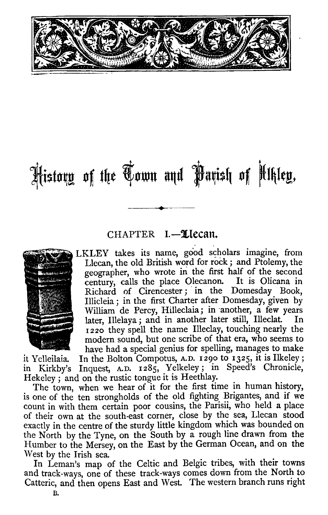

# History of the Hown and Parish of Ukley.

#### CHAPTER I.-Llecan.



ILKLEY takes its name, good scholars imagine, from Llecan, the old British word for rock ; and Ptolemy, the geographer, who wrote in the first half of the second century, calls the place Olecanon. It is Olicana in Richard of Cirencester ; in the Domesday Book, Illicleia ; in the first Charter after Domesday, given by William de Percy, Hilleclaia; in another, a few years<br>later. Illelaya: and in another later still. Illeclat. In later, Illelaya ; and in another later still, Illeclat. 1220 they spell the name Illeclay, touching nearly the modern sound, but one scribe of that era, who seems to have had a special genius for spelling, manages to make

it Yelleilaia. In the Bolton Compotus, A.D. 1290 to 1325, it is Ilkeley;<br>in Kirkby's Inquest, A.D. 1285, Yelkeley; in Speed's Chronicle, Inquest, A.D. 1285, Yelkeley; in Speed's Chronicle, Hekeley ; and on the rustic tongue it is Heethlay.

The town, when we hear of it for the first time in human history, is one of the ten strongholds of the old fighting Brigantes, and if we count in with them certain poor cousins, the Parisii, who held a place of their own at the south-east corner, close by the sea, Llecan stood exactly in the centre of the sturdy little kingdom which was bounded on the North by the Tyne, on the South by a rough line drawn from the Humber to the Mersey, on the East by the German Ocean, and on the West by the Irish sea.

In Leman's map of the Celtic and Belgic tribes, with their towns and track-ways, one of these track-ways comes down from the North to Catteric, and then opens East and West. The western branch runs right

B.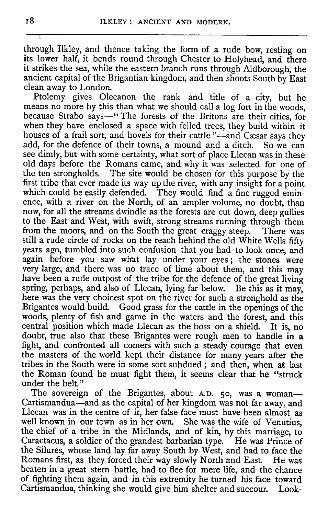through Ilkley, and thence taking the form of a rude bow, resting on its lower half, it bends round through Chester to Holyhead, and there it strikes the sea, while the eastern branch runs through Aldborough, the ancient capital of the Brigantian kingdom, and then shoots South by East clean away to London.

Ptolemy gives Olecanon the rank and title of a city, but he means no more by this than what we should call a log fort in the woods, because Strabo says—" The forests of the Britons are their cities, for when they have enclosed a space with felled trees, they build within it houses of a frail sort, and hovels for their cattle "-and Cæsar says they add, for the defence of their towns, a mound and a ditch. So we can see dimly, but with some certainty, what sort of place Llecan was in these old days before the Romans came, and why it was selected for one of the ten strongholds. The site would be chosen for this purpose by the first tribe that ever made its way up the river, with any insight for a point which could be easily defended. They would find a fine rugged eminence, with a river on the North, of an ampler volume, no doubt, than now, for all the streams dwindle as the forests are cut down, deep gullies to the East and West, with swift, strong streams running through them<br>from the moors, and on the South the great craggy steep. There was from the moors, and on the South the great craggy steep. still a rude circle of rocks on the reach behind the old White Wells fifty years ago, tumbled into such confusion that you had to look once, and again before you saw what lay under your eyes ; the stones were very large, and there was no trace of lime about them, and this may have been a rude outpost of the tribe for the defence of the great living spring, perhaps, and also of Llecan, lying far below. Be this as it may, here was the very choicest spot on the river for such a stronghold as the Brigantes would build. Good grass for the cattle in the openings of the woods, plenty of fish and game in the waters and the forest, and this central position which made Llecan as the boss on a shield. It is, no doubt, true also that these Brigantes were rough men to handle in a fight, and confronted all comers with such a steady courage that even the masters of the world kept their distance for many years after the tribes in the South were in some sort subdued ; and then, when at last the Roman found he must fight them, it seems clear that he "struck under the belt."

The sovereign of the Brigantes, about A.D. 50, was a woman-Cartismandua—and as the capital of her kingdom was not far away, and Llecan was in the centre of it, her false face must have been almost as well known in our town as in her own. She was the wife of Venutius, the chief of a tribe in the Midlands, and of kin, by this marriage, to Caractacus, a soldier of the grandest barbarian type. He was Prince of the Silures, whose land lay far away South by West, and had to face the Romans first, as they forced their way slowly North and East. He was beaten in a great stern battle, had to flee for mere life, and the chance of fighting them again, and in this extremity he turned his face toward Cartismandua, thinking she would give him shelter and succour. Look-